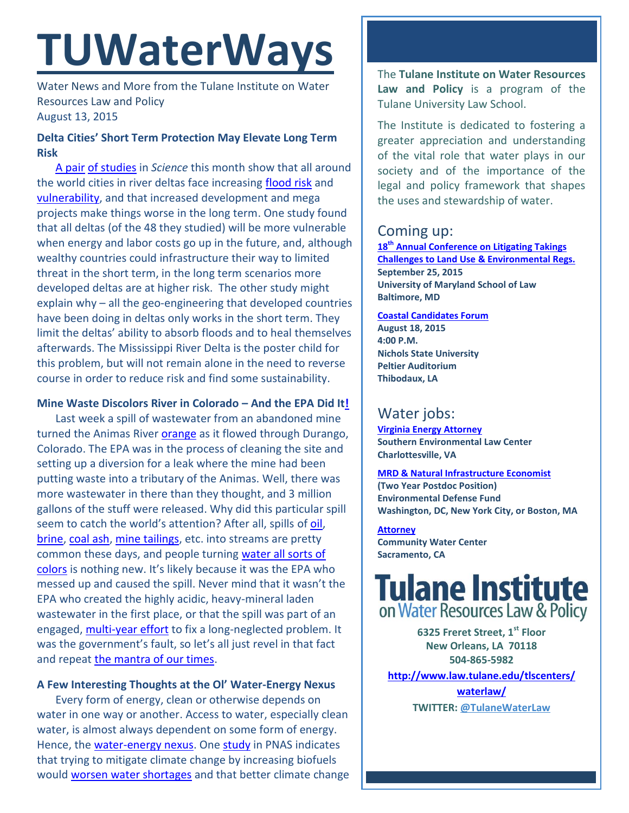# **TUWaterWays**

Water News and More from the Tulane Institute on Water Resources Law and Policy August 13, 2015

### **Delta Cities' Short Term Protection May Elevate Long Term Risk**

[A pair](http://www.sciencemag.org/content/349/6248/588.summary?sid=f2e3ee3b-38c7-4298-bbd7-cd9a103a8086) [of studies](http://www.sciencemag.org/content/349/6248/638) in *Science* this month show that all around the world cities in river deltas face increasing [flood risk](http://gizmodo.com/we-need-to-seriously-rethink-how-we-prepare-for-future-1722592072) and [vulnerability,](http://www.theguardian.com/environment/2015/aug/06/sea-defences-not-enough-to-protect-delta-cities-from-rising-flood-risk-study) and that increased development and mega projects make things worse in the long term. One study found that all deltas (of the 48 they studied) will be more vulnerable when energy and labor costs go up in the future, and, although wealthy countries could infrastructure their way to limited threat in the short term, in the long term scenarios more developed deltas are at higher risk. The other study might explain why – all the geo-engineering that developed countries have been doing in deltas only works in the short term. They limit the deltas' ability to absorb floods and to heal themselves afterwards. The Mississippi River Delta is the poster child for this problem, but will not remain alone in the need to reverse course in order to reduce risk and find some sustainability.

#### **Mine Waste Discolors River in Colorado – And the EPA Did I[t!](https://www.youtube.com/watch?v=cphNpqKpKc4)**

Last week a spill of wastewater from an abandoned mine turned the Animas River [orange](http://www.durangoherald.com/article/20150806/NEWS01/150809765/0/20150806/Catastrophe-on-the-Animas) as it flowed through Durango, Colorado. The EPA was in the process of cleaning the site and setting up a diversion for a leak where the mine had been putting waste into a tributary of the Animas. Well, there was more wastewater in there than they thought, and 3 million gallons of the stuff were released. Why did this particular spill seem to catch the world's attention? After all, spills of [oil,](http://www.startribune.com/a-timeline-recent-oil-train-crashes-in-the-us-and-canada/316217351/) [brine,](http://www.pbs.org/newshour/rundown/fracking-brine-leak-north-dakota-reaches-missouri-river-prompts-state-democrats-call-regulation/) [coal ash,](http://www.catawbariverkeeper.org/issues/coal-ash-1/duke-energy-dan-river-coal-ash-spill-what-do-we-currently-know-what-do-we-need-to-know) [mine tailings,](https://www.earthworksaction.org/files/pubs-others/BowkerChambers-RiskPublicLiability_EconomicsOfTailingsStorageFacility%20Failures-23Jul15.pdf) etc. into streams are pretty common these days, and people turning [water all sorts of](http://gizmodo.com/five-places-people-have-turned-the-water-a-crazy-unnatu-1722819042)  [colors](http://gizmodo.com/five-places-people-have-turned-the-water-a-crazy-unnatu-1722819042) is nothing new. It's likely because it was the EPA who messed up and caused the spill. Never mind that it wasn't the EPA who created the highly acidic, heavy-mineral laden wastewater in the first place, or that the spill was part of an engaged, [multi-year effort](http://www2.epa.gov/region8/upper-animas-mining-district) to fix a long-neglected problem. It was the government's fault, so let's all just revel in that fact and repeat [the mantra of our times.](https://www.youtube.com/watch?v=uhY9Zxv1-oo)

#### **A Few Interesting Thoughts at the Ol' Water-Energy Nexus**

Every form of energy, clean or otherwise depends on water in one way or another. Access to water, especially clean water, is almost always dependent on some form of energy. Hence, the [water-energy nexus.](https://en.wikipedia.org/wiki/Water-energy_nexus) One [study](http://www.pnas.org/content/early/2015/07/28/1421675112.full.pdf) in PNAS indicates that trying to mitigate climate change by increasing biofuels would [worsen water shortages](http://gizmodo.com/cutting-emissions-through-biofuels-will-lead-to-water-s-1722647298) and that better climate change

The **Tulane Institute on Water Resources Law and Policy** is a program of the Tulane University Law School.

The Institute is dedicated to fostering a greater appreciation and understanding of the vital role that water plays in our society and of the importance of the legal and policy framework that shapes the uses and stewardship of water.

# Coming up:

**18th [Annual Conference on Litigating Takings](http://forms.vermontlaw.edu/elc/landuse/Takings15/)  [Challenges to Land Use & Environmental Regs.](http://forms.vermontlaw.edu/elc/landuse/Takings15/) September 25, 2015 University of Maryland School of Law Baltimore, MD**

# **[Coastal Candidates Forum](http://crcl.org/candidate-forum.html)**

**August 18, 2015 4:00 P.M. Nichols State University Peltier Auditorium Thibodaux, LA**

# Water jobs:

**[Virginia Energy Attorney](http://vcnva.org/index.php/resources/job-opportunities?limitstart=0) Southern Environmental Law Center Charlottesville, VA**

## **[MRD & Natural Infrastructure Economist](https://www.edf.org/jobs/mississippi-river-delta-and-natural-infrastructure-economist-2-year-post-doctoral-position)**

**(Two Year Postdoc Position) Environmental Defense Fund Washington, DC, New York City, or Boston, MA**

**[Attorney](http://www.communitywatercenter.org/career_opportunities) Community Water Center Sacramento, CA**

# **Tulane Institute** on Water Resources Law & Policy

**6325 Freret Street, 1st Floor New Orleans, LA 70118 504-865-5982** 

**[http://www.law.tulane.edu/tlscenters/](http://www.law.tulane.edu/tlscenters/waterlaw/)**

**[waterlaw/](http://www.law.tulane.edu/tlscenters/waterlaw/) TWITTER: [@TulaneWaterLaw](http://www.twitter.com/TulaneWaterLaw)**